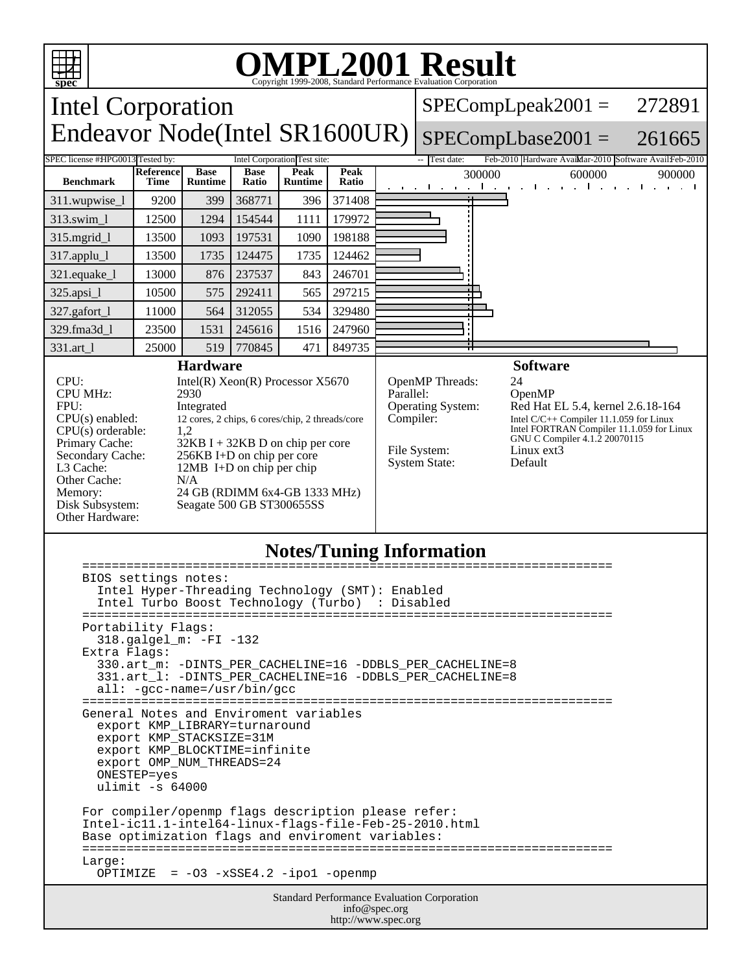

## OMPL2001 Result 1999-2008, Standard Performance Evaluation Corporation

Intel Corporation Endeavor Node(Intel SR1600UR)  $SPECompLpeak2001 =$ SPECompLbase2001 = 272891 261665 SPEC license #HPG0013 Tested by: Intel Corporation Test site: Feb-2010 Hardware Avail:Mar-2010 Software Avail:Feb-2010 **Benchmark Reference Time Base Runtime Base Ratio Peak Runtime Peak Peak** 300000 600000 900000<br>**Ratio** 300000 600000 900000 311.wupwise 1 9200 399 368771 396 371408

| $313$ .swim_1                                | 12500 | 1294 | 154544 | 1111 | 179972                       |                 |
|----------------------------------------------|-------|------|--------|------|------------------------------|-----------------|
| $315$ .mgrid_l                               | 13500 | 1093 | 197531 | 1090 | 198188                       |                 |
| $317$ .applu_l                               | 13500 | 1735 | 124475 | 1735 | 124462                       |                 |
| $321$ .equake_ $1$                           | 13000 | 876  | 237537 | 843  | 246701                       |                 |
| $325 \text{ apsi} 1$                         | 10500 | 575  | 292411 | 565  | 297215                       |                 |
| $327$ .gafort_1                              | 1000  | 564  | 312055 | 534  | 329480                       |                 |
| 329.fma3d 1                                  | 23500 | 1531 | 245616 | 1516 | 247960                       |                 |
| 331.art 1                                    | 25000 | 519  | 770845 | 471  | 849735                       |                 |
| <b>Hardware</b>                              |       |      |        |      |                              | <b>Software</b> |
| CPU:<br>Intel(R) $Xeon(R)$ Processor $X5670$ |       |      |        |      | <b>OpenMP</b> Threads:<br>24 |                 |

CPU MHz: 2930<br>FPU: 11teg FPU: Integrated<br>CPU(s) enabled: 12 cores, 2 c  $CPU(s)$  orderable: Other Cache:  $N/A$ <br>Memory: 24 G Other Hardware:

12 cores, 2 chips, 6 cores/chip, 2 threads/core<br>1,2 Primary Cache: 32KB I + 32KB D on chip per core<br>Secondary Cache: 256KB I+D on chip per core Secondary Cache: 256KB I+D on chip per core<br>L3 Cache: 12MB I+D on chip per chip 12MB I+D on chip per chip Memory: 24 GB (RDIMM 6x4-GB 1333 MHz)<br>Disk Subsystem: Seagate 500 GB ST300655SS Seagate 500 GB ST300655SS

Parallel: OpenMP<br>Operating System: Red Hat l

Operating System: Red Hat EL 5.4, kernel 2.6.18-164<br>Compiler: Intel C/C++ Compiler 11.1.059 for Linux Compiler: Intel C/C++ Compiler 11.1.059 for Linux<br>Intel FORTRAN Compiler 11.1.059 for Linux<br>GNU C Compiler 4.1.2 20070115 File System: Linux ext3 System State: Default

## **Notes/Tuning Information**

| BIOS settings notes:                                                                                        |  |  |  |  |
|-------------------------------------------------------------------------------------------------------------|--|--|--|--|
| Intel Hyper-Threading Technology (SMT): Enabled                                                             |  |  |  |  |
| Intel Turbo Boost Technology (Turbo) : Disabled                                                             |  |  |  |  |
|                                                                                                             |  |  |  |  |
| Portability Flags:<br>318.galgel_m: -FI -132                                                                |  |  |  |  |
| Extra Flags:                                                                                                |  |  |  |  |
| 330.art_m: -DINTS_PER_CACHELINE=16 -DDBLS_PER_CACHELINE=8                                                   |  |  |  |  |
| 331.art_1: -DINTS_PER_CACHELINE=16 -DDBLS_PER_CACHELINE=8                                                   |  |  |  |  |
| $all: -qcc-name = /usr/bin/qcc$                                                                             |  |  |  |  |
|                                                                                                             |  |  |  |  |
| General Notes and Enviroment variables                                                                      |  |  |  |  |
| export KMP LIBRARY=turnaround<br>export KMP_STACKSIZE=31M                                                   |  |  |  |  |
| export KMP_BLOCKTIME=infinite                                                                               |  |  |  |  |
| export OMP NUM THREADS=24                                                                                   |  |  |  |  |
| ONESTEP=yes                                                                                                 |  |  |  |  |
| ulimit $-s$ 64000                                                                                           |  |  |  |  |
|                                                                                                             |  |  |  |  |
| For compiler/openmp flags description please refer:                                                         |  |  |  |  |
| Intel-ic11.1-intel64-linux-flags-file-Feb-25-2010.html<br>Base optimization flags and enviroment variables: |  |  |  |  |
|                                                                                                             |  |  |  |  |
| Large:                                                                                                      |  |  |  |  |
| OPTIMIZE = $-03 - xSSE4.2 - ipo1 - openmp$                                                                  |  |  |  |  |
| Standard Performance Evaluation Corporation                                                                 |  |  |  |  |
| $inf_{\alpha}$ and $\alpha$                                                                                 |  |  |  |  |

info@spec.org http://www.spec.org